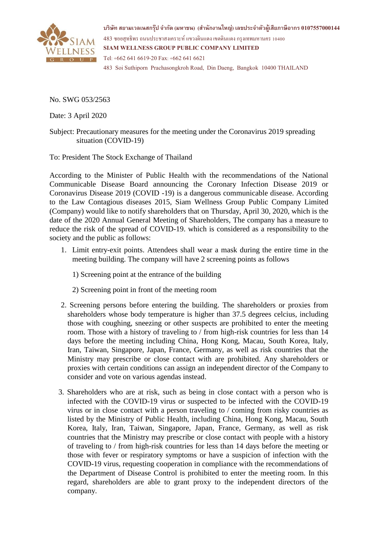

**บริษทั สยามเวลเนสกรุ๊ป จ ากัด (มหาชน) (สา นักงานใหญ) ่ เลขประจ าตัวผู้เสียภาษีอากร 0107557000144** 483 ซอยสุทธิพร ถนนประชาสงเคราะห์ แขวงดินแดง เขตดินแดง กรุงเทพมหานคร 10400 **SIAM WELLNESS GROUP PUBLIC COMPANY LIMITED** Tel: +662 641 6619-20 Fax: +662 641 6621 483 Soi Suthiporn Prachasongkroh Road, Din Daeng, Bangkok 10400 THAILAND

No. SWG 053/2563

Date: 3 April 2020

Subject: Precautionary measures for the meeting under the Coronavirus 2019 spreading situation (COVID-19)

To: President The Stock Exchange of Thailand

According to the Minister of Public Health with the recommendations of the National Communicable Disease Board announcing the Coronary Infection Disease 2019 or Coronavirus Disease 2019 (COVID -19) is a dangerous communicable disease. According to the Law Contagious diseases 2015, Siam Wellness Group Public Company Limited (Company) would like to notify shareholders that on Thursday, April 30, 2020, which is the date of the 2020 Annual General Meeting of Shareholders, The company has a measure to reduce the risk of the spread of COVID-19. which is considered as a responsibility to the society and the public as follows:

- 1. Limit entry-exit points. Attendees shall wear a mask during the entire time in the meeting building. The company will have 2 screening points as follows
	- 1) Screening point at the entrance of the building
	- 2) Screening point in front of the meeting room
- 2. Screening persons before entering the building. The shareholders or proxies from shareholders whose body temperature is higher than 37.5 degrees celcius, including those with coughing, sneezing or other suspects are prohibited to enter the meeting room. Those with a history of traveling to / from high-risk countries for less than 14 days before the meeting including China, Hong Kong, Macau, South Korea, Italy, Iran, Taiwan, Singapore, Japan, France, Germany, as well as risk countries that the Ministry may prescribe or close contact with are prohibited. Any shareholders or proxies with certain conditions can assign an independent director of the Company to consider and vote on various agendas instead.
- 3. Shareholders who are at risk, such as being in close contact with a person who is infected with the COVID-19 virus or suspected to be infected with the COVID-19 virus or in close contact with a person traveling to / coming from risky countries as listed by the Ministry of Public Health, including China, Hong Kong, Macau, South Korea, Italy, Iran, Taiwan, Singapore, Japan, France, Germany, as well as risk countries that the Ministry may prescribe or close contact with people with a history of traveling to / from high-risk countries for less than 14 days before the meeting or those with fever or respiratory symptoms or have a suspicion of infection with the COVID-19 virus, requesting cooperation in compliance with the recommendations of the Department of Disease Control is prohibited to enter the meeting room. In this regard, shareholders are able to grant proxy to the independent directors of the company.